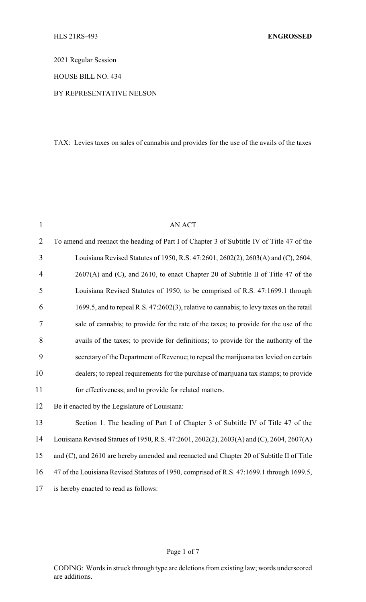2021 Regular Session

HOUSE BILL NO. 434

### BY REPRESENTATIVE NELSON

TAX: Levies taxes on sales of cannabis and provides for the use of the avails of the taxes

| $\mathbf{1}$   | <b>AN ACT</b>                                                                             |  |
|----------------|-------------------------------------------------------------------------------------------|--|
| $\overline{2}$ | To amend and reenact the heading of Part I of Chapter 3 of Subtitle IV of Title 47 of the |  |
| $\overline{3}$ | Louisiana Revised Statutes of 1950, R.S. 47:2601, 2602(2), 2603(A) and (C), 2604,         |  |
| $\overline{4}$ | 2607(A) and (C), and 2610, to enact Chapter 20 of Subtitle II of Title 47 of the          |  |
| 5              | Louisiana Revised Statutes of 1950, to be comprised of R.S. 47:1699.1 through             |  |
| 6              | 1699.5, and to repeal R.S. 47:2602(3), relative to cannabis; to levy taxes on the retail  |  |
| 7              | sale of cannabis; to provide for the rate of the taxes; to provide for the use of the     |  |
| 8              | avails of the taxes; to provide for definitions; to provide for the authority of the      |  |
| 9              | secretary of the Department of Revenue; to repeal the marijuana tax levied on certain     |  |
| 10             | dealers; to repeal requirements for the purchase of marijuana tax stamps; to provide      |  |
| 11             | for effectiveness; and to provide for related matters.                                    |  |
| 12             | Be it enacted by the Legislature of Louisiana:                                            |  |
| 13             | Section 1. The heading of Part I of Chapter 3 of Subtitle IV of Title 47 of the           |  |
| 14             | Louisiana Revised Statues of 1950, R.S. 47:2601, 2602(2), 2603(A) and (C), 2604, 2607(A)  |  |
| 15             | and (C), and 2610 are hereby amended and reenacted and Chapter 20 of Subtitle II of Title |  |
| 16             | 47 of the Louisiana Revised Statutes of 1950, comprised of R.S. 47:1699.1 through 1699.5, |  |
| 17             | is hereby enacted to read as follows:                                                     |  |
|                |                                                                                           |  |

#### Page 1 of 7

CODING: Words in struck through type are deletions from existing law; words underscored are additions.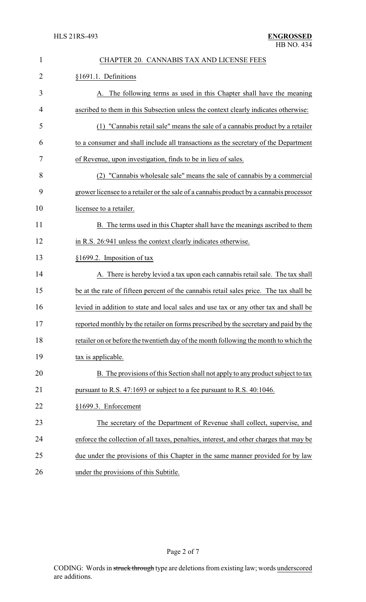| $\mathbf{1}$ | CHAPTER 20. CANNABIS TAX AND LICENSE FEES                                               |  |  |  |
|--------------|-----------------------------------------------------------------------------------------|--|--|--|
| 2            | §1691.1. Definitions                                                                    |  |  |  |
| 3            | A. The following terms as used in this Chapter shall have the meaning                   |  |  |  |
| 4            | ascribed to them in this Subsection unless the context clearly indicates otherwise:     |  |  |  |
| 5            | (1) "Cannabis retail sale" means the sale of a cannabis product by a retailer           |  |  |  |
| 6            | to a consumer and shall include all transactions as the secretary of the Department     |  |  |  |
| 7            | of Revenue, upon investigation, finds to be in lieu of sales.                           |  |  |  |
| 8            | (2) "Cannabis wholesale sale" means the sale of cannabis by a commercial                |  |  |  |
| 9            | grower licensee to a retailer or the sale of a cannabis product by a cannabis processor |  |  |  |
| 10           | licensee to a retailer.                                                                 |  |  |  |
| 11           | B. The terms used in this Chapter shall have the meanings ascribed to them              |  |  |  |
| 12           | in R.S. 26:941 unless the context clearly indicates otherwise.                          |  |  |  |
| 13           | §1699.2. Imposition of tax                                                              |  |  |  |
| 14           | A. There is hereby levied a tax upon each cannabis retail sale. The tax shall           |  |  |  |
| 15           | be at the rate of fifteen percent of the cannabis retail sales price. The tax shall be  |  |  |  |
| 16           | levied in addition to state and local sales and use tax or any other tax and shall be   |  |  |  |
| 17           | reported monthly by the retailer on forms prescribed by the secretary and paid by the   |  |  |  |
| 18           | retailer on or before the twentieth day of the month following the month to which the   |  |  |  |
| 19           | tax is applicable.                                                                      |  |  |  |
| 20           | B. The provisions of this Section shall not apply to any product subject to tax         |  |  |  |
| 21           | pursuant to R.S. 47:1693 or subject to a fee pursuant to R.S. 40:1046.                  |  |  |  |
| 22           | §1699.3. Enforcement                                                                    |  |  |  |
| 23           | The secretary of the Department of Revenue shall collect, supervise, and                |  |  |  |
| 24           | enforce the collection of all taxes, penalties, interest, and other charges that may be |  |  |  |
| 25           | due under the provisions of this Chapter in the same manner provided for by law         |  |  |  |
| 26           | under the provisions of this Subtitle.                                                  |  |  |  |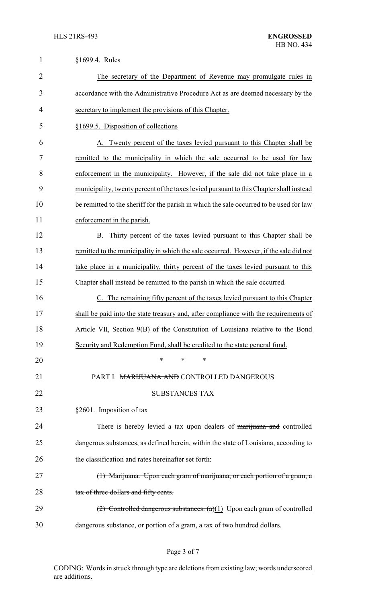| $\mathbf{1}$   | §1699.4. Rules                                                                          |  |
|----------------|-----------------------------------------------------------------------------------------|--|
| $\overline{2}$ | The secretary of the Department of Revenue may promulgate rules in                      |  |
| 3              | accordance with the Administrative Procedure Act as are deemed necessary by the         |  |
| 4              | secretary to implement the provisions of this Chapter.                                  |  |
| 5              | §1699.5. Disposition of collections                                                     |  |
| 6              | A. Twenty percent of the taxes levied pursuant to this Chapter shall be                 |  |
| 7              | remitted to the municipality in which the sale occurred to be used for law              |  |
| 8              | enforcement in the municipality. However, if the sale did not take place in a           |  |
| 9              | municipality, twenty percent of the taxes levied pursuant to this Chapter shall instead |  |
| 10             | be remitted to the sheriff for the parish in which the sale occurred to be used for law |  |
| 11             | enforcement in the parish.                                                              |  |
| 12             | Thirty percent of the taxes levied pursuant to this Chapter shall be<br>B.              |  |
| 13             | remitted to the municipality in which the sale occurred. However, if the sale did not   |  |
| 14             | take place in a municipality, thirty percent of the taxes levied pursuant to this       |  |
| 15             | Chapter shall instead be remitted to the parish in which the sale occurred.             |  |
| 16             | The remaining fifty percent of the taxes levied pursuant to this Chapter                |  |
| 17             | shall be paid into the state treasury and, after compliance with the requirements of    |  |
| 18             | Article VII, Section 9(B) of the Constitution of Louisiana relative to the Bond         |  |
| 19             | Security and Redemption Fund, shall be credited to the state general fund.              |  |
| 20             | $\ast$<br>*<br>$\ast$                                                                   |  |
| 21             | PART I. MARIJUANA AND CONTROLLED DANGEROUS                                              |  |
| 22             | <b>SUBSTANCES TAX</b>                                                                   |  |
| 23             | §2601. Imposition of tax                                                                |  |
| 24             | There is hereby levied a tax upon dealers of marijuana and controlled                   |  |
| 25             | dangerous substances, as defined herein, within the state of Louisiana, according to    |  |
| 26             | the classification and rates hereinafter set forth:                                     |  |
| 27             | (1) Marijuana. Upon each gram of marijuana, or each portion of a gram, a                |  |
| 28             | tax of three dollars and fifty cents.                                                   |  |
| 29             | $(2)$ Controlled dangerous substances. $(a)(1)$ Upon each gram of controlled            |  |
| 30             | dangerous substance, or portion of a gram, a tax of two hundred dollars.                |  |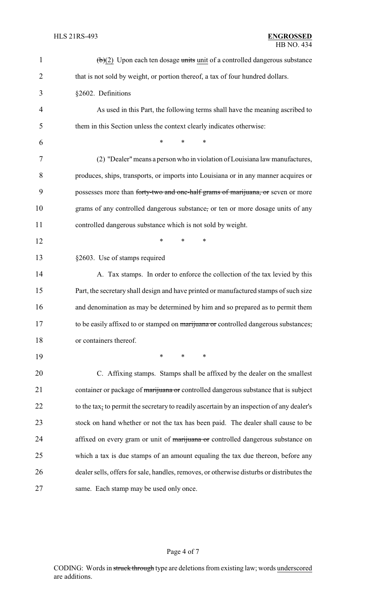| $\mathbf{1}$   | $\left(\frac{b}{c}\right)$ Upon each ten dosage units unit of a controlled dangerous substance |  |  |
|----------------|------------------------------------------------------------------------------------------------|--|--|
| $\overline{2}$ | that is not sold by weight, or portion thereof, a tax of four hundred dollars.                 |  |  |
| 3              | §2602. Definitions                                                                             |  |  |
| 4              | As used in this Part, the following terms shall have the meaning ascribed to                   |  |  |
| 5              | them in this Section unless the context clearly indicates otherwise:                           |  |  |
| 6              | $\ast$<br>$\ast$<br>*                                                                          |  |  |
| 7              | (2) "Dealer" means a person who in violation of Louisiana law manufactures,                    |  |  |
| 8              | produces, ships, transports, or imports into Louisiana or in any manner acquires or            |  |  |
| 9              | possesses more than forty-two and one-half grams of marijuana, or seven or more                |  |  |
| 10             | grams of any controlled dangerous substance, or ten or more dosage units of any                |  |  |
| 11             | controlled dangerous substance which is not sold by weight.                                    |  |  |
| 12             | *<br>$\ast$<br>*                                                                               |  |  |
| 13             | §2603. Use of stamps required                                                                  |  |  |
| 14             | A. Tax stamps. In order to enforce the collection of the tax levied by this                    |  |  |
| 15             | Part, the secretary shall design and have printed or manufactured stamps of such size          |  |  |
| 16             | and denomination as may be determined by him and so prepared as to permit them                 |  |  |
| 17             | to be easily affixed to or stamped on marijuana or controlled dangerous substances,            |  |  |
| 18             | or containers thereof.                                                                         |  |  |
| 19             | $\ast$<br>*<br>∗                                                                               |  |  |
| 20             | C. Affixing stamps. Stamps shall be affixed by the dealer on the smallest                      |  |  |
| 21             | container or package of marijuana or controlled dangerous substance that is subject            |  |  |
| 22             | to the tax, to permit the secretary to readily ascertain by an inspection of any dealer's      |  |  |
| 23             | stock on hand whether or not the tax has been paid. The dealer shall cause to be               |  |  |
| 24             | affixed on every gram or unit of marijuana or controlled dangerous substance on                |  |  |
| 25             | which a tax is due stamps of an amount equaling the tax due thereon, before any                |  |  |
| 26             | dealer sells, offers for sale, handles, removes, or otherwise disturbs or distributes the      |  |  |
| 27             | same. Each stamp may be used only once.                                                        |  |  |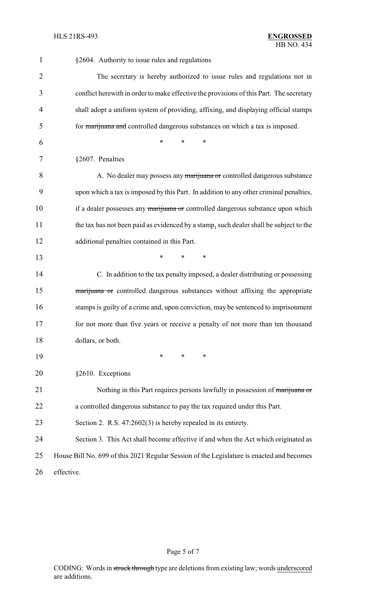| 1              | §2604. Authority to issue rules and regulations                                           |
|----------------|-------------------------------------------------------------------------------------------|
| $\overline{2}$ | The secretary is hereby authorized to issue rules and regulations not in                  |
| 3              | conflict herewith in order to make effective the provisions of this Part. The secretary   |
| 4              | shall adopt a uniform system of providing, affixing, and displaying official stamps       |
| 5              | for marijuana and controlled dangerous substances on which a tax is imposed.              |
| 6              | $\ast$<br>*<br>*                                                                          |
| 7              | §2607. Penalties                                                                          |
| 8              | A. No dealer may possess any marijuana or controlled dangerous substance                  |
| 9              | upon which a tax is imposed by this Part. In addition to any other criminal penalties,    |
| 10             | if a dealer possesses any marijuana or controlled dangerous substance upon which          |
| 11             | the tax has not been paid as evidenced by a stamp, such dealer shall be subject to the    |
| 12             | additional penalties contained in this Part.                                              |
| 13             | $\ast$<br>*<br>$\ast$                                                                     |
| 14             | C. In addition to the tax penalty imposed, a dealer distributing or possessing            |
| 15             | marijuana or controlled dangerous substances without affixing the appropriate             |
| 16             | stamps is guilty of a crime and, upon conviction, may be sentenced to imprisonment        |
| 17             | for not more than five years or receive a penalty of not more than ten thousand           |
| 18             | dollars, or both.                                                                         |
| 19             | $\ast$<br>*<br>*                                                                          |
| 20             | §2610. Exceptions                                                                         |
| 21             | Nothing in this Part requires persons lawfully in possession of marijuana or              |
| 22             | a controlled dangerous substance to pay the tax required under this Part.                 |
| 23             | Section 2. R.S. $47:2602(3)$ is hereby repealed in its entirety.                          |
| 24             | Section 3. This Act shall become effective if and when the Act which originated as        |
| 25             | House Bill No. 699 of this 2021 Regular Session of the Legislature is enacted and becomes |
| 26             | effective.                                                                                |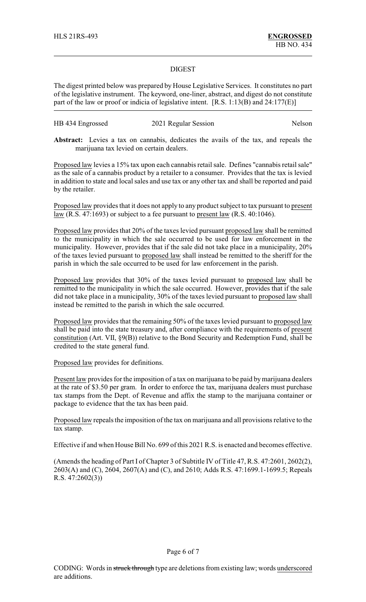### DIGEST

The digest printed below was prepared by House Legislative Services. It constitutes no part of the legislative instrument. The keyword, one-liner, abstract, and digest do not constitute part of the law or proof or indicia of legislative intent. [R.S. 1:13(B) and 24:177(E)]

| HB 434 Engrossed | 2021 Regular Session | Nelson |
|------------------|----------------------|--------|
|------------------|----------------------|--------|

**Abstract:** Levies a tax on cannabis, dedicates the avails of the tax, and repeals the marijuana tax levied on certain dealers.

Proposed law levies a 15% tax upon each cannabis retail sale. Defines "cannabis retail sale" as the sale of a cannabis product by a retailer to a consumer. Provides that the tax is levied in addition to state and local sales and use tax or any other tax and shall be reported and paid by the retailer.

Proposed law provides that it does not apply to any product subject to tax pursuant to present  $law$  (R.S. 47:1693) or subject to a fee pursuant to present law (R.S. 40:1046).</u>

Proposed law provides that 20% of the taxes levied pursuant proposed law shall be remitted to the municipality in which the sale occurred to be used for law enforcement in the municipality. However, provides that if the sale did not take place in a municipality, 20% of the taxes levied pursuant to proposed law shall instead be remitted to the sheriff for the parish in which the sale occurred to be used for law enforcement in the parish.

Proposed law provides that 30% of the taxes levied pursuant to proposed law shall be remitted to the municipality in which the sale occurred. However, provides that if the sale did not take place in a municipality, 30% of the taxes levied pursuant to proposed law shall instead be remitted to the parish in which the sale occurred.

Proposed law provides that the remaining 50% of the taxes levied pursuant to proposed law shall be paid into the state treasury and, after compliance with the requirements of present constitution (Art. VII, §9(B)) relative to the Bond Security and Redemption Fund, shall be credited to the state general fund.

Proposed law provides for definitions.

Present law provides for the imposition of a tax on marijuana to be paid by marijuana dealers at the rate of \$3.50 per gram. In order to enforce the tax, marijuana dealers must purchase tax stamps from the Dept. of Revenue and affix the stamp to the marijuana container or package to evidence that the tax has been paid.

Proposed law repeals the imposition of the tax on marijuana and all provisions relative to the tax stamp.

Effective if and when House Bill No. 699 of this 2021 R.S. is enacted and becomes effective.

(Amends the heading of Part I of Chapter 3 of Subtitle IV of Title 47, R.S. 47:2601, 2602(2), 2603(A) and (C), 2604, 2607(A) and (C), and 2610; Adds R.S. 47:1699.1-1699.5; Repeals R.S. 47:2602(3))